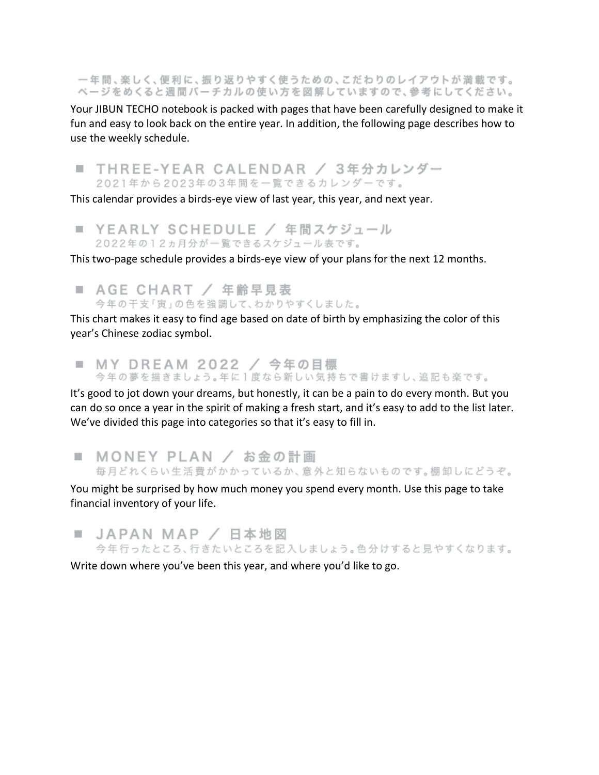一年間、楽しく、便利に、振り返りやすく使うための、こだわりのレイアウトが満載です。 ページをめくると週間バーチカルの使い方を図解していますので、参考にしてください。

Your JIBUN TECHO notebook is packed with pages that have been carefully designed to make it fun and easy to look back on the entire year. In addition, the following page describes how to use the weekly schedule.

■ THREE-YEAR CALENDAR / 3年分カレンダー 2021年から2023年の3年間を一覧できるカレンダーです。

This calendar provides a birds-eye view of last year, this year, and next year.

■ YEARLY SCHEDULE / 年間スケジュール 2022年の12ヵ月分が一覧できるスケジュール表です。

This two-page schedule provides a birds-eye view of your plans for the next 12 months.

■ AGE CHART / 年齢早見表 今年の干支「寅」の色を強調して、わかりやすくしました。

This chart makes it easy to find age based on date of birth by emphasizing the color of this year's Chinese zodiac symbol.

■ MY DREAM 2022 / 今年の目標 今年の夢を描きましょう。年に1度なら新しい気持ちで書けますし、追記も楽です。

It's good to jot down your dreams, but honestly, it can be a pain to do every month. But you can do so once a year in the spirit of making a fresh start, and it's easy to add to the list later. We've divided this page into categories so that it's easy to fill in.

■ MONEY PLAN / お金の計画 毎月どれくらい生活費がかかっているか、意外と知らないものです。棚卸しにどうぞ。

You might be surprised by how much money you spend every month. Use this page to take financial inventory of your life.

■ JAPAN MAP / 日本地図 今年行ったところ、行きたいところを記入しましょう。色分けすると見やすくなります。

Write down where you've been this year, and where you'd like to go.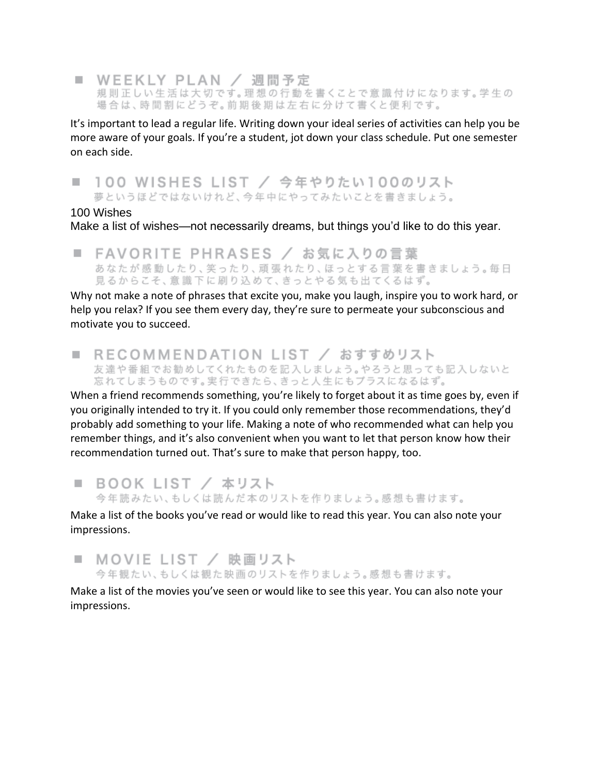■ WEEKLY PLAN / 週間予定 規則正しい生活は大切です。理想の行動を書くことで意識付けになります。学生の 場合は、時間割にどうぞ。前期後期は左右に分けて書くと便利です。

It's important to lead a regular life. Writing down your ideal series of activities can help you be more aware of your goals. If you're a student, jot down your class schedule. Put one semester on each side.

#### 100 WISHES LIST / 今年やりたい100のリスト m.

夢というほどではないけれど、今年中にやってみたいことを書きましょう。

#### 100 Wishes

Make a list of wishes—not necessarily dreams, but things you'd like to do this year.

■ FAVORITE PHRASES / お気に入りの言葉 あなたが感動したり、笑ったり、頑張れたり、ほっとする言葉を書きましょう。毎日 見るからこそ、意識下に刷り込めて、きっとやる気も出てくるはず。

Why not make a note of phrases that excite you, make you laugh, inspire you to work hard, or help you relax? If you see them every day, they're sure to permeate your subconscious and motivate you to succeed.

■ RECOMMENDATION LIST / おすすめリスト 友達や番組でお勧めしてくれたものを記入しましょう。やろうと思っても記入しないと 忘れてしまうものです。実行できたら、きっと人生にもブラスになるはず。

When a friend recommends something, you're likely to forget about it as time goes by, even if you originally intended to try it. If you could only remember those recommendations, they'd probably add something to your life. Making a note of who recommended what can help you remember things, and it's also convenient when you want to let that person know how their recommendation turned out. That's sure to make that person happy, too.

■ BOOK LIST / 本リスト 今年読みたい、もしくは読んだ本のリストを作りましょう。感想も書けます。

Make a list of the books you've read or would like to read this year. You can also note your impressions.

# ■ MOVIE LIST / 映画リスト 今年観たい、もしくは観た映画のリストを作りましょう。感想も書けます。

Make a list of the movies you've seen or would like to see this year. You can also note your impressions.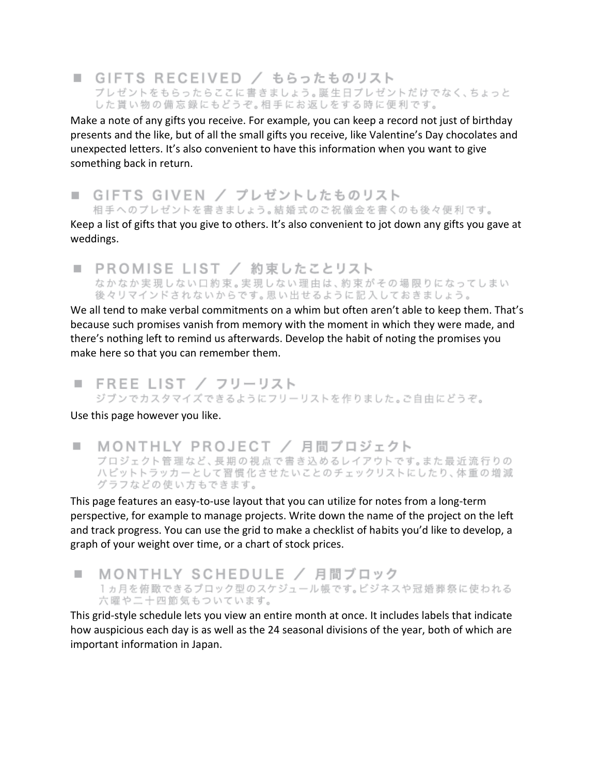#### ■ GIFTS RECEIVED / もらったものリスト プレゼントをもらったらここに書きましょう。誕生日プレゼントだけでなく、ちょっと した貰い物の備忘録にもどうぞ。相手にお返しをする時に便利です。

Make a note of any gifts you receive. For example, you can keep a record not just of birthday presents and the like, but of all the small gifts you receive, like Valentine's Day chocolates and unexpected letters. It's also convenient to have this information when you want to give something back in return.

■ GIFTS GIVEN / プレゼントしたものリスト 相手へのプレゼントを書きましょう。結婚式のご祝儀金を書くのも後々便利です。

Keep a list of gifts that you give to others. It's also convenient to jot down any gifts you gave at

weddings.

■ PROMISE LIST / 約束したことリスト なかなか実現しない口約束。実現しない理由は、約束がその場限りになってしまい 後々リマインドされないからです。思い出せるように記入しておきましょう。

We all tend to make verbal commitments on a whim but often aren't able to keep them. That's because such promises vanish from memory with the moment in which they were made, and there's nothing left to remind us afterwards. Develop the habit of noting the promises you make here so that you can remember them.

■ FREE LIST / フリーリスト ジブンでカスタマイズできるようにフリーリストを作りました。ご自由にどうぞ。

Use this page however you like.

MONTHLY PROJECT / 月間プロジェクト m. プロジェクト管理など、長期の視点で書き込めるレイアウトです。また最近流行りの ハビットトラッカーとして習慣化させたいことのチェックリストにしたり、体重の増減 グラフなどの使い方もできます。

This page features an easy-to-use layout that you can utilize for notes from a long-term perspective, for example to manage projects. Write down the name of the project on the left and track progress. You can use the grid to make a checklist of habits you'd like to develop, a graph of your weight over time, or a chart of stock prices.

MONTHLY SCHEDULE / 月間ブロック a. 1ヵ月を俯瞰できるブロック型のスケジュール帳です。ビジネスや冠婚葬祭に使われる 六曜や二十四節気もついています。

This grid-style schedule lets you view an entire month at once. It includes labels that indicate how auspicious each day is as well as the 24 seasonal divisions of the year, both of which are important information in Japan.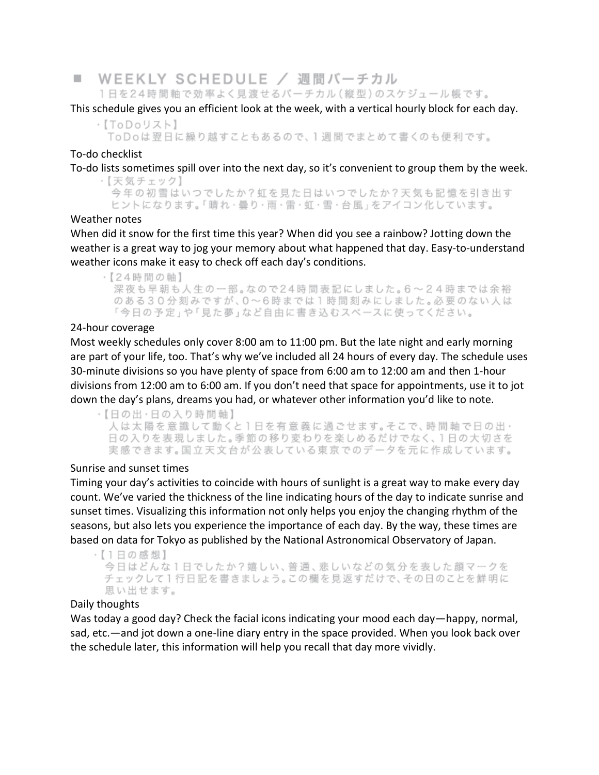■ WEEKLY SCHEDULE / 週間バーチカル 1日を24時間軸で効率よく見渡せるバーチカル (縦型)のスケジュール帳です。

This schedule gives you an efficient look at the week, with a vertical hourly block for each day.

·【ToDoリスト】 ToDoは翌日に繰り越すこともあるので、1週間でまとめて書くのも便利です。

#### To-do checklist

To-do lists sometimes spill over into the next day, so it's convenient to group them by the week.

・【天気チェック】 今年の初雪はいつでしたか?虹を見た日はいつでしたか?天気も記憶を引き出す ヒントになります。「晴れ・曇り・雨・雷・虹・雪・台風」をアイコン化しています。

#### Weather notes

When did it snow for the first time this year? When did you see a rainbow? Jotting down the weather is a great way to jog your memory about what happened that day. Easy-to-understand weather icons make it easy to check off each day's conditions.

・【24時間の軸】 深夜も早朝も人生の一部。なので24時間表記にしました。6~24時までは余裕 のある30分刻みですが、0~6時までは1時間刻みにしました。必要のない人は 「今日の予定」や「見た夢」など自由に書き込むスペースに使ってください。

### 24-hour coverage

Most weekly schedules only cover 8:00 am to 11:00 pm. But the late night and early morning are part of your life, too. That's why we've included all 24 hours of every day. The schedule uses 30-minute divisions so you have plenty of space from 6:00 am to 12:00 am and then 1-hour divisions from 12:00 am to 6:00 am. If you don't need that space for appointments, use it to jot down the day's plans, dreams you had, or whatever other information you'd like to note.

·【日の出·日の入り時間軸】 人は太陽を意識して動くと1日を有意義に過ごせます。そこで、時間軸で日の出・ 日の入りを表現しました。季節の移り変わりを楽しめるだけでなく、1日の大切さを 実感できます。国立天文台が公表している東京でのデータを元に作成しています。

## Sunrise and sunset times

Timing your day's activities to coincide with hours of sunlight is a great way to make every day count. We've varied the thickness of the line indicating hours of the day to indicate sunrise and sunset times. Visualizing this information not only helps you enjoy the changing rhythm of the seasons, but also lets you experience the importance of each day. By the way, these times are based on data for Tokyo as published by the National Astronomical Observatory of Japan.

・【1日の感想】 今日はどんな1日でしたか?嬉しい、普通、悲しいなどの気分を表した顔マークを チェックして1行日記を書きましょう。この欄を見返すだけで、その日のことを鮮明に 思い出せます。

#### Daily thoughts

Was today a good day? Check the facial icons indicating your mood each day—happy, normal, sad, etc.—and jot down a one-line diary entry in the space provided. When you look back over the schedule later, this information will help you recall that day more vividly.